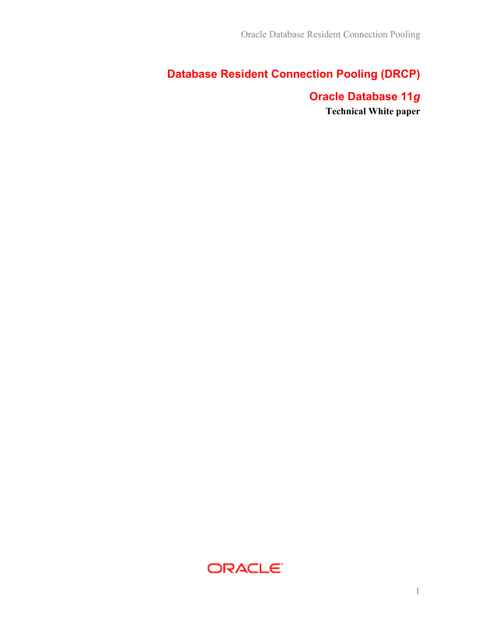# Database Resident Connection Pooling (DRCP)

# Oracle Database 11g Technical White paper

ORACLE<sup>®</sup>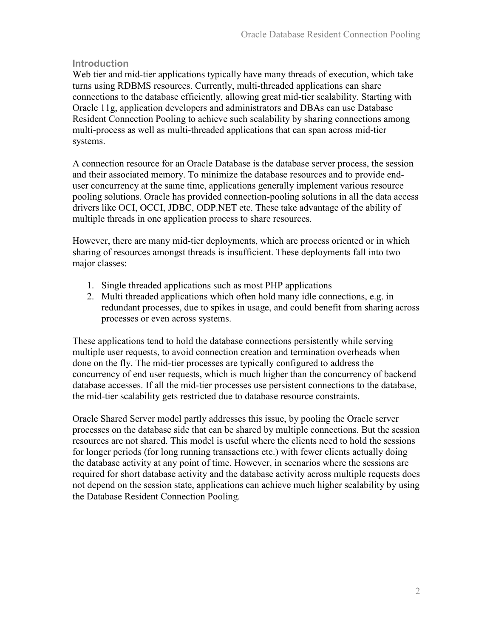#### **Introduction**

Web tier and mid-tier applications typically have many threads of execution, which take turns using RDBMS resources. Currently, multi-threaded applications can share connections to the database efficiently, allowing great mid-tier scalability. Starting with Oracle 11g, application developers and administrators and DBAs can use Database Resident Connection Pooling to achieve such scalability by sharing connections among multi-process as well as multi-threaded applications that can span across mid-tier systems.

A connection resource for an Oracle Database is the database server process, the session and their associated memory. To minimize the database resources and to provide enduser concurrency at the same time, applications generally implement various resource pooling solutions. Oracle has provided connection-pooling solutions in all the data access drivers like OCI, OCCI, JDBC, ODP.NET etc. These take advantage of the ability of multiple threads in one application process to share resources.

However, there are many mid-tier deployments, which are process oriented or in which sharing of resources amongst threads is insufficient. These deployments fall into two major classes:

- 1. Single threaded applications such as most PHP applications
- 2. Multi threaded applications which often hold many idle connections, e.g. in redundant processes, due to spikes in usage, and could benefit from sharing across processes or even across systems.

These applications tend to hold the database connections persistently while serving multiple user requests, to avoid connection creation and termination overheads when done on the fly. The mid-tier processes are typically configured to address the concurrency of end user requests, which is much higher than the concurrency of backend database accesses. If all the mid-tier processes use persistent connections to the database, the mid-tier scalability gets restricted due to database resource constraints.

Oracle Shared Server model partly addresses this issue, by pooling the Oracle server processes on the database side that can be shared by multiple connections. But the session resources are not shared. This model is useful where the clients need to hold the sessions for longer periods (for long running transactions etc.) with fewer clients actually doing the database activity at any point of time. However, in scenarios where the sessions are required for short database activity and the database activity across multiple requests does not depend on the session state, applications can achieve much higher scalability by using the Database Resident Connection Pooling.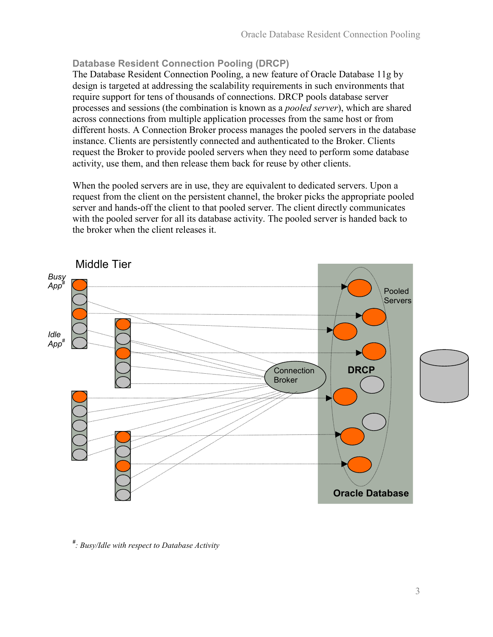## Database Resident Connection Pooling (DRCP)

The Database Resident Connection Pooling, a new feature of Oracle Database 11g by design is targeted at addressing the scalability requirements in such environments that require support for tens of thousands of connections. DRCP pools database server processes and sessions (the combination is known as a pooled server), which are shared across connections from multiple application processes from the same host or from different hosts. A Connection Broker process manages the pooled servers in the database instance. Clients are persistently connected and authenticated to the Broker. Clients request the Broker to provide pooled servers when they need to perform some database activity, use them, and then release them back for reuse by other clients.

When the pooled servers are in use, they are equivalent to dedicated servers. Upon a request from the client on the persistent channel, the broker picks the appropriate pooled server and hands-off the client to that pooled server. The client directly communicates with the pooled server for all its database activity. The pooled server is handed back to the broker when the client releases it.



# : Busy/Idle with respect to Database Activity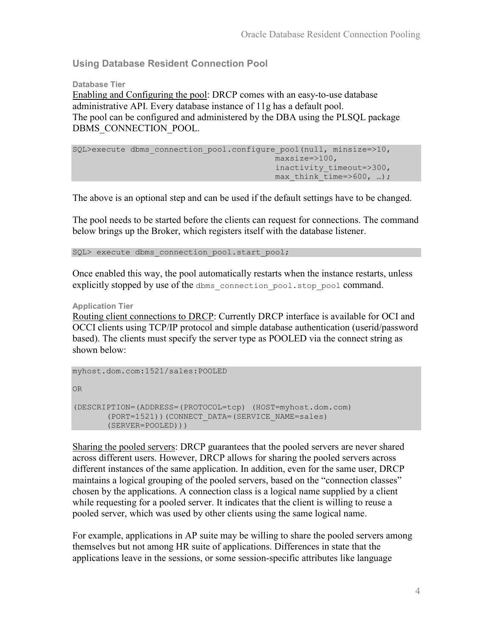Using Database Resident Connection Pool

Database Tier Enabling and Configuring the pool: DRCP comes with an easy-to-use database administrative API. Every database instance of 11g has a default pool. The pool can be configured and administered by the DBA using the PLSQL package DBMS\_CONNECTION\_POOL.

```
SQL>execute dbms connection pool.configure_pool(null, minsize=>10,
                                    maxsize=>100, 
                                   inactivity timeout=>300,
                                   max think time=>600, …);
```
The above is an optional step and can be used if the default settings have to be changed.

The pool needs to be started before the clients can request for connections. The command below brings up the Broker, which registers itself with the database listener.

SQL> execute dbms connection pool.start pool;

Once enabled this way, the pool automatically restarts when the instance restarts, unless explicitly stopped by use of the dbms connection pool.stop pool command.

Application Tier

Routing client connections to DRCP: Currently DRCP interface is available for OCI and OCCI clients using TCP/IP protocol and simple database authentication (userid/password based). The clients must specify the server type as POOLED via the connect string as shown below:

myhost.dom.com:1521/sales:POOLED

OR

```
(DESCRIPTION=(ADDRESS=(PROTOCOL=tcp) (HOST=myhost.dom.com) 
(PORT=1521))(CONNECT_DATA=(SERVICE_NAME=sales) 
(SERVER=POOLED)))
```
Sharing the pooled servers: DRCP guarantees that the pooled servers are never shared across different users. However, DRCP allows for sharing the pooled servers across different instances of the same application. In addition, even for the same user, DRCP maintains a logical grouping of the pooled servers, based on the "connection classes" chosen by the applications. A connection class is a logical name supplied by a client while requesting for a pooled server. It indicates that the client is willing to reuse a pooled server, which was used by other clients using the same logical name.

For example, applications in AP suite may be willing to share the pooled servers among themselves but not among HR suite of applications. Differences in state that the applications leave in the sessions, or some session-specific attributes like language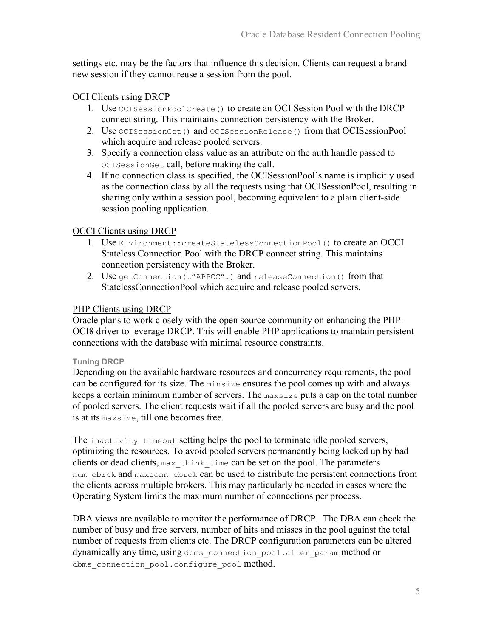settings etc. may be the factors that influence this decision. Clients can request a brand new session if they cannot reuse a session from the pool.

### OCI Clients using DRCP

- 1. Use OCISessionPoolCreate() to create an OCI Session Pool with the DRCP connect string. This maintains connection persistency with the Broker.
- 2. Use OCISessionGet() and OCISessionRelease() from that OCISessionPool which acquire and release pooled servers.
- 3. Specify a connection class value as an attribute on the auth handle passed to OCISessionGet call, before making the call.
- 4. If no connection class is specified, the OCISessionPool's name is implicitly used as the connection class by all the requests using that OCISessionPool, resulting in sharing only within a session pool, becoming equivalent to a plain client-side session pooling application.

### OCCI Clients using DRCP

- 1. Use Environment:: createStatelessConnectionPool() to create an OCCI Stateless Connection Pool with the DRCP connect string. This maintains connection persistency with the Broker.
- 2. Use getConnection(…"APPCC"…) and releaseConnection() from that StatelessConnectionPool which acquire and release pooled servers.

#### PHP Clients using DRCP

Oracle plans to work closely with the open source community on enhancing the PHP-OCI8 driver to leverage DRCP. This will enable PHP applications to maintain persistent connections with the database with minimal resource constraints.

#### Tuning DRCP

Depending on the available hardware resources and concurrency requirements, the pool can be configured for its size. The minsize ensures the pool comes up with and always keeps a certain minimum number of servers. The maxsize puts a cap on the total number of pooled servers. The client requests wait if all the pooled servers are busy and the pool is at its maxsize, till one becomes free.

The inactivity timeout setting helps the pool to terminate idle pooled servers, optimizing the resources. To avoid pooled servers permanently being locked up by bad clients or dead clients, max think time can be set on the pool. The parameters num cbrok and maxconn cbrok can be used to distribute the persistent connections from the clients across multiple brokers. This may particularly be needed in cases where the Operating System limits the maximum number of connections per process.

DBA views are available to monitor the performance of DRCP. The DBA can check the number of busy and free servers, number of hits and misses in the pool against the total number of requests from clients etc. The DRCP configuration parameters can be altered dynamically any time, using dbms\_connection\_pool.alter\_param method or dbms connection pool.configure pool method.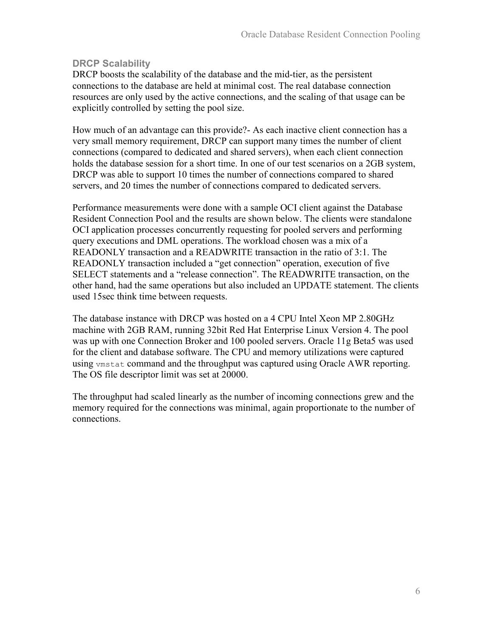### DRCP Scalability

DRCP boosts the scalability of the database and the mid-tier, as the persistent connections to the database are held at minimal cost. The real database connection resources are only used by the active connections, and the scaling of that usage can be explicitly controlled by setting the pool size.

How much of an advantage can this provide?- As each inactive client connection has a very small memory requirement, DRCP can support many times the number of client connections (compared to dedicated and shared servers), when each client connection holds the database session for a short time. In one of our test scenarios on a 2GB system, DRCP was able to support 10 times the number of connections compared to shared servers, and 20 times the number of connections compared to dedicated servers.

Performance measurements were done with a sample OCI client against the Database Resident Connection Pool and the results are shown below. The clients were standalone OCI application processes concurrently requesting for pooled servers and performing query executions and DML operations. The workload chosen was a mix of a READONLY transaction and a READWRITE transaction in the ratio of 3:1. The READONLY transaction included a "get connection" operation, execution of five SELECT statements and a "release connection". The READWRITE transaction, on the other hand, had the same operations but also included an UPDATE statement. The clients used 15sec think time between requests.

The database instance with DRCP was hosted on a 4 CPU Intel Xeon MP 2.80GHz machine with 2GB RAM, running 32bit Red Hat Enterprise Linux Version 4. The pool was up with one Connection Broker and 100 pooled servers. Oracle 11g Beta5 was used for the client and database software. The CPU and memory utilizations were captured using vmstat command and the throughput was captured using Oracle AWR reporting. The OS file descriptor limit was set at 20000.

The throughput had scaled linearly as the number of incoming connections grew and the memory required for the connections was minimal, again proportionate to the number of connections.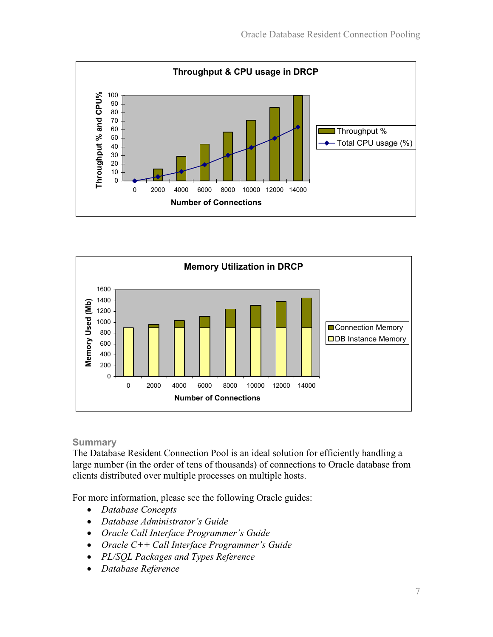



### **Summary**

The Database Resident Connection Pool is an ideal solution for efficiently handling a large number (in the order of tens of thousands) of connections to Oracle database from clients distributed over multiple processes on multiple hosts.

For more information, please see the following Oracle guides:

- Database Concepts
- Database Administrator's Guide
- Oracle Call Interface Programmer's Guide
- Oracle C++ Call Interface Programmer's Guide
- PL/SQL Packages and Types Reference
- Database Reference